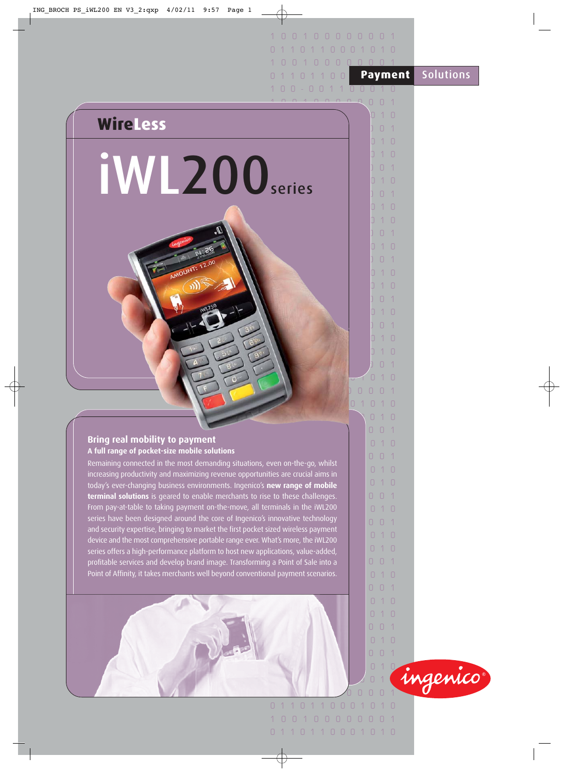|                                                                                                                                                                      | $\Box$                   | 10000001                                                                          |                  |
|----------------------------------------------------------------------------------------------------------------------------------------------------------------------|--------------------------|-----------------------------------------------------------------------------------|------------------|
|                                                                                                                                                                      |                          |                                                                                   |                  |
|                                                                                                                                                                      | H.                       | $\begin{array}{ccccccccccccccccc} \cap & \cap & \cap & \cap & \cap & \end{array}$ |                  |
|                                                                                                                                                                      |                          | <b>Payment</b>                                                                    | <b>Solutions</b> |
|                                                                                                                                                                      |                          | 00010                                                                             |                  |
|                                                                                                                                                                      |                          | $\Box$                                                                            |                  |
| <b>WireLess</b>                                                                                                                                                      |                          | 10                                                                                |                  |
|                                                                                                                                                                      |                          | $\begin{array}{c} \n\end{array}$<br>$\lceil$                                      |                  |
|                                                                                                                                                                      |                          | 0 1 0                                                                             |                  |
|                                                                                                                                                                      |                          | $1 \cap$<br>$\begin{array}{c} \n\end{array}$                                      |                  |
| <b>IW 200</b> series                                                                                                                                                 |                          | $1 \Omega$                                                                        |                  |
|                                                                                                                                                                      |                          | $\begin{array}{c} \square \end{array}$                                            |                  |
|                                                                                                                                                                      |                          | 10                                                                                |                  |
|                                                                                                                                                                      |                          | $1 \Omega$                                                                        |                  |
|                                                                                                                                                                      |                          | $\Box$                                                                            |                  |
|                                                                                                                                                                      |                          | $1 \Omega$                                                                        |                  |
|                                                                                                                                                                      |                          | $\begin{array}{c} \square \end{array}$<br>$\overline{1}$                          |                  |
| AMOUNT: 12.00                                                                                                                                                        |                          | 10                                                                                |                  |
|                                                                                                                                                                      |                          | 71 N                                                                              |                  |
|                                                                                                                                                                      |                          | $\Box$                                                                            |                  |
|                                                                                                                                                                      |                          | $1 \Omega$                                                                        |                  |
|                                                                                                                                                                      |                          | $\begin{array}{c} \n\end{array}$                                                  |                  |
|                                                                                                                                                                      |                          | 10<br>$1 \Omega$                                                                  |                  |
|                                                                                                                                                                      |                          | $\Box$                                                                            |                  |
|                                                                                                                                                                      |                          | $\Box$                                                                            |                  |
|                                                                                                                                                                      |                          | $\Box$<br>$\Box$                                                                  |                  |
|                                                                                                                                                                      |                          | 0 1 0 1 0                                                                         |                  |
|                                                                                                                                                                      |                          | 010                                                                               |                  |
|                                                                                                                                                                      |                          | 001                                                                               |                  |
| <b>Bring real mobility to payment</b><br>A full range of pocket-size mobile solutions                                                                                |                          | $\Box$<br>10                                                                      |                  |
| Remaining connected in the most demanding situations, even on-the-go, whilst                                                                                         |                          | $\Box$<br>0 <sub>1</sub>                                                          |                  |
| increasing productivity and maximizing revenue opportunities are crucial aims in                                                                                     |                          | 0.10                                                                              |                  |
| today's ever-changing business environments. Ingenico's new range of mobile                                                                                          |                          | 010                                                                               |                  |
| terminal solutions is geared to enable merchants to rise to these challenges.<br>From pay-at-table to taking payment on-the-move, all terminals in the IWL200        |                          | $\Box$<br>$0-1$                                                                   |                  |
| series have been designed around the core of Ingenico's innovative technology                                                                                        |                          | $\Box$<br>10<br>$\Box$<br>0 <sub>1</sub>                                          |                  |
| and security expertise, bringing to market the first pocket sized wireless payment                                                                                   |                          | $\Box$<br>10                                                                      |                  |
| device and the most comprehensive portable range ever. What's more, the iWL200                                                                                       |                          | 010                                                                               |                  |
| series offers a high-performance platform to host new applications, value-added,<br>profitable services and develop brand image. Transforming a Point of Sale into a |                          | $\Box$<br>$0-1$                                                                   |                  |
| Point of Affinity, it takes merchants well beyond conventional payment scenarios.                                                                                    |                          | 10<br>$\Box$                                                                      |                  |
|                                                                                                                                                                      |                          | $\Box$<br>$0-1$                                                                   |                  |
|                                                                                                                                                                      |                          | $\Box$<br>10                                                                      |                  |
|                                                                                                                                                                      |                          | $\Box$<br>10                                                                      |                  |
|                                                                                                                                                                      |                          | $\Box$<br>$\bigcap$ 1                                                             |                  |
|                                                                                                                                                                      |                          | 10<br>$\Box$                                                                      |                  |
|                                                                                                                                                                      |                          | $\overline{0}$<br>0 <sub>1</sub>                                                  |                  |
|                                                                                                                                                                      |                          | $\begin{array}{c} \square \end{array}$<br>10                                      | ingenico         |
|                                                                                                                                                                      |                          | $\Box$                                                                            |                  |
|                                                                                                                                                                      | 1000<br>$\Box$<br>$\Box$ | 10<br>$1 \Omega$                                                                  |                  |
|                                                                                                                                                                      | 1 0 0                    | 100000001                                                                         |                  |
|                                                                                                                                                                      |                          |                                                                                   |                  |